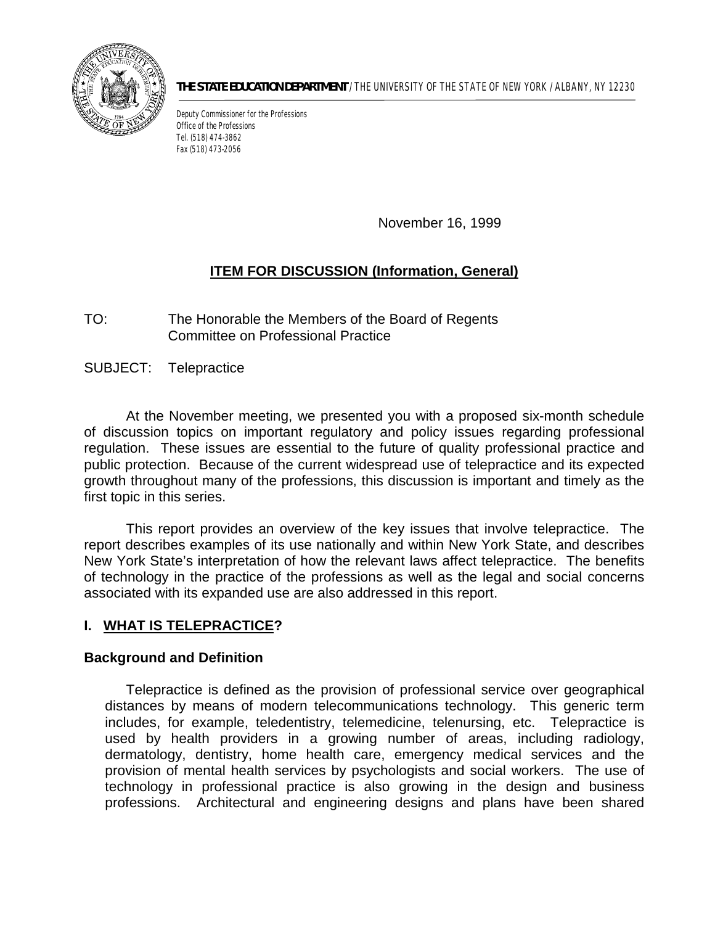

**THE STATE EDUCATION DEPARTMENT** / THE UNIVERSITY OF THE STATE OF NEW YORK / ALBANY, NY 12230

Deputy Commissioner for the Professions Office of the Professions Tel. (518) 474-3862 Fax (518) 473-2056

November 16, 1999

# **ITEM FOR DISCUSSION (Information, General)**

TO: The Honorable the Members of the Board of Regents Committee on Professional Practice

SUBJECT: Telepractice

 regulation. These issues are essential to the future of quality professional practice and public protection. Because of the current widespread use of telepractice and its expected At the November meeting, we presented you with a proposed six-month schedule of discussion topics on important regulatory and policy issues regarding professional growth throughout many of the professions, this discussion is important and timely as the first topic in this series.

 This report provides an overview of the key issues that involve telepractice. The report describes examples of its use nationally and within New York State, and describes New York State's interpretation of how the relevant laws affect telepractice. The benefits of technology in the practice of the professions as well as the legal and social concerns associated with its expanded use are also addressed in this report.

# **I. WHAT IS TELEPRACTICE?**

## **Background and Definition**

 includes, for example, teledentistry, telemedicine, telenursing, etc. Telepractice is technology in professional practice is also growing in the design and business Telepractice is defined as the provision of professional service over geographical distances by means of modern telecommunications technology. This generic term used by health providers in a growing number of areas, including radiology, dermatology, dentistry, home health care, emergency medical services and the provision of mental health services by psychologists and social workers. The use of professions. Architectural and engineering designs and plans have been shared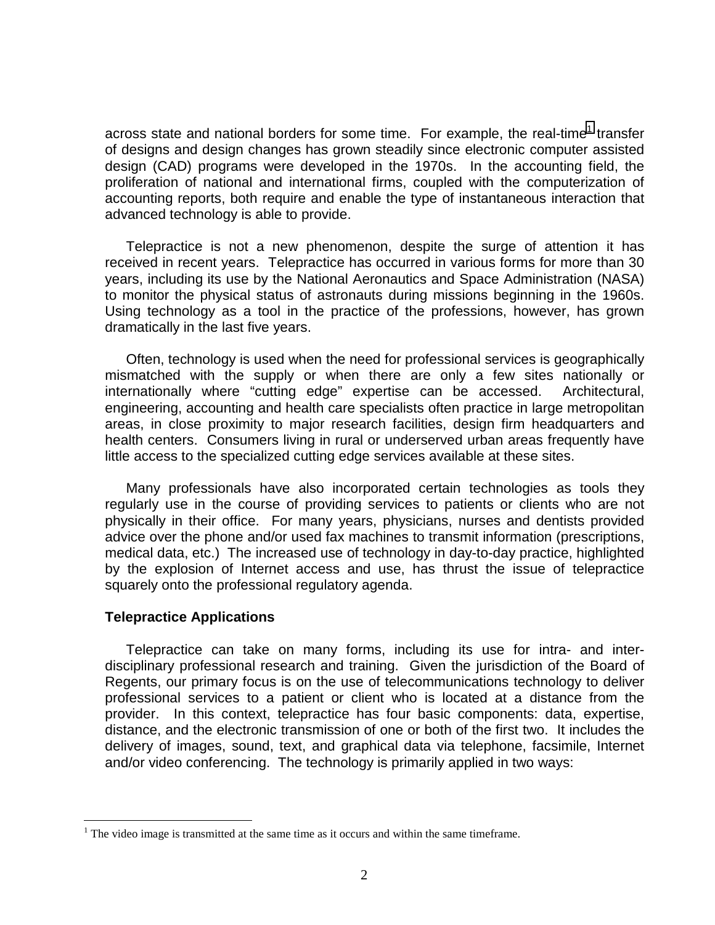across state and national borders for some time. For example, the real-time<sup>1</sup> transfer design (CAD) programs were developed in the 1970s. In the accounting field, the proliferation of national and international firms, coupled with the computerization of accounting reports, both require and enable the type of instantaneous interaction that of designs and design changes has grown steadily since electronic computer assisted advanced technology is able to provide.

 Telepractice is not a new phenomenon, despite the surge of attention it has received in recent years. Telepractice has occurred in various forms for more than 30 years, including its use by the National Aeronautics and Space Administration (NASA) to monitor the physical status of astronauts during missions beginning in the 1960s. Using technology as a tool in the practice of the professions, however, has grown dramatically in the last five years.

 Often, technology is used when the need for professional services is geographically areas, in close proximity to major research facilities, design firm headquarters and mismatched with the supply or when there are only a few sites nationally or internationally where "cutting edge" expertise can be accessed. Architectural, engineering, accounting and health care specialists often practice in large metropolitan health centers. Consumers living in rural or underserved urban areas frequently have little access to the specialized cutting edge services available at these sites.

 medical data, etc.) The increased use of technology in day-to-day practice, highlighted Many professionals have also incorporated certain technologies as tools they regularly use in the course of providing services to patients or clients who are not physically in their office. For many years, physicians, nurses and dentists provided advice over the phone and/or used fax machines to transmit information (prescriptions, by the explosion of Internet access and use, has thrust the issue of telepractice squarely onto the professional regulatory agenda.

#### **Telepractice Applications**

1

 disciplinary professional research and training. Given the jurisdiction of the Board of provider. In this context, telepractice has four basic components: data, expertise, distance, and the electronic transmission of one or both of the first two. It includes the Telepractice can take on many forms, including its use for intra- and inter-Regents, our primary focus is on the use of telecommunications technology to deliver professional services to a patient or client who is located at a distance from the delivery of images, sound, text, and graphical data via telephone, facsimile, Internet and/or video conferencing. The technology is primarily applied in two ways:

 $<sup>1</sup>$  The video image is transmitted at the same time as it occurs and within the same timeframe.</sup>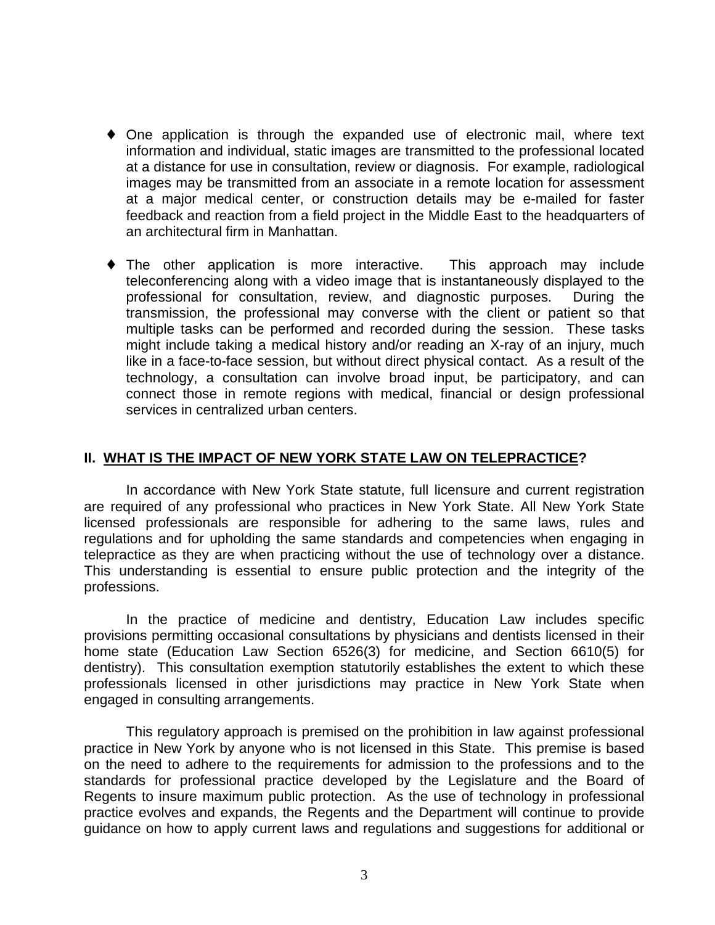- at a distance for use in consultation, review or diagnosis. For example, radiological feedback and reaction from a field project in the Middle East to the headquarters of  $\bullet$  One application is through the expanded use of electronic mail, where text information and individual, static images are transmitted to the professional located images may be transmitted from an associate in a remote location for assessment at a major medical center, or construction details may be e-mailed for faster an architectural firm in Manhattan.
- The other application is more interactive. This approach may include like in a face-to-face session, but without direct physical contact. As a result of the teleconferencing along with a video image that is instantaneously displayed to the professional for consultation, review, and diagnostic purposes. During the transmission, the professional may converse with the client or patient so that multiple tasks can be performed and recorded during the session. These tasks might include taking a medical history and/or reading an X-ray of an injury, much technology, a consultation can involve broad input, be participatory, and can connect those in remote regions with medical, financial or design professional services in centralized urban centers.

## **II. WHAT IS THE IMPACT OF NEW YORK STATE LAW ON TELEPRACTICE?**

 licensed professionals are responsible for adhering to the same laws, rules and telepractice as they are when practicing without the use of technology over a distance. This understanding is essential to ensure public protection and the integrity of the In accordance with New York State statute, full licensure and current registration are required of any professional who practices in New York State. All New York State regulations and for upholding the same standards and competencies when engaging in professions.

 professionals licensed in other jurisdictions may practice in New York State when In the practice of medicine and dentistry, Education Law includes specific provisions permitting occasional consultations by physicians and dentists licensed in their home state (Education Law Section 6526(3) for medicine, and Section 6610(5) for dentistry). This consultation exemption statutorily establishes the extent to which these engaged in consulting arrangements.

 This regulatory approach is premised on the prohibition in law against professional practice in New York by anyone who is not licensed in this State. This premise is based on the need to adhere to the requirements for admission to the professions and to the Regents to insure maximum public protection. As the use of technology in professional standards for professional practice developed by the Legislature and the Board of practice evolves and expands, the Regents and the Department will continue to provide guidance on how to apply current laws and regulations and suggestions for additional or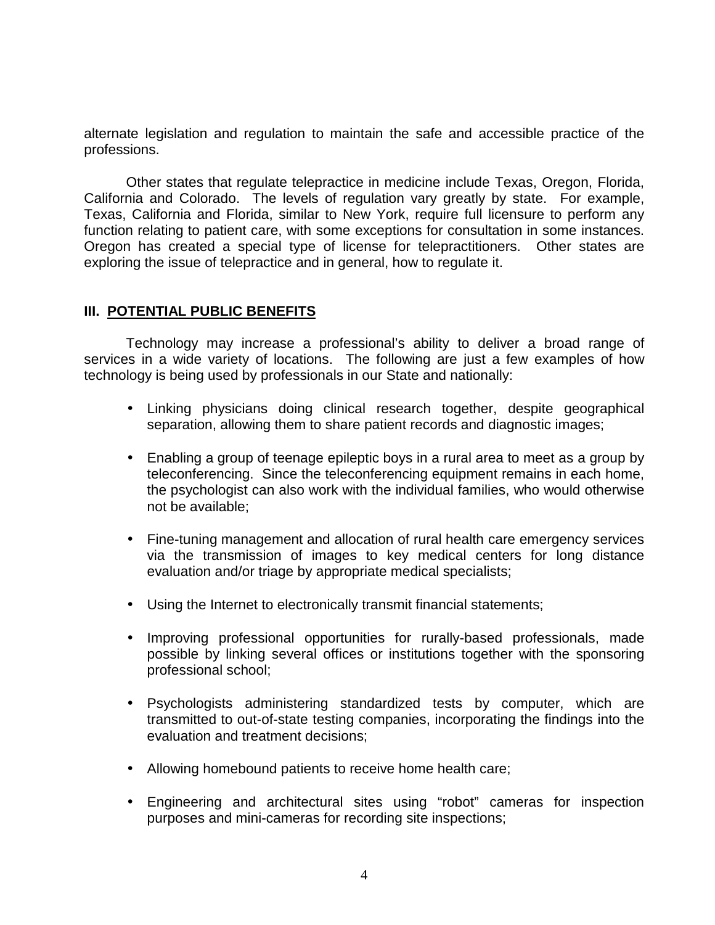alternate legislation and regulation to maintain the safe and accessible practice of the professions.

 California and Colorado. The levels of regulation vary greatly by state. For example, Texas, California and Florida, similar to New York, require full licensure to perform any function relating to patient care, with some exceptions for consultation in some instances. Other states that regulate telepractice in medicine include Texas, Oregon, Florida, Oregon has created a special type of license for telepractitioners. Other states are exploring the issue of telepractice and in general, how to regulate it.

## **III. POTENTIAL PUBLIC BENEFITS**

 Technology may increase a professional's ability to deliver a broad range of services in a wide variety of locations. The following are just a few examples of how technology is being used by professionals in our State and nationally:

- Linking physicians doing clinical research together, despite geographical separation, allowing them to share patient records and diagnostic images;
- Enabling a group of teenage epileptic boys in a rural area to meet as a group by teleconferencing. Since the teleconferencing equipment remains in each home, the psychologist can also work with the individual families, who would otherwise not be available;
- via the transmission of images to key medical centers for long distance • Fine-tuning management and allocation of rural health care emergency services evaluation and/or triage by appropriate medical specialists;
- Using the Internet to electronically transmit financial statements;
- Improving professional opportunities for rurally-based professionals, made possible by linking several offices or institutions together with the sponsoring professional school;
- Psychologists administering standardized tests by computer, which are transmitted to out-of-state testing companies, incorporating the findings into the evaluation and treatment decisions;
- Allowing homebound patients to receive home health care;
- Engineering and architectural sites using "robot" cameras for inspection purposes and mini-cameras for recording site inspections;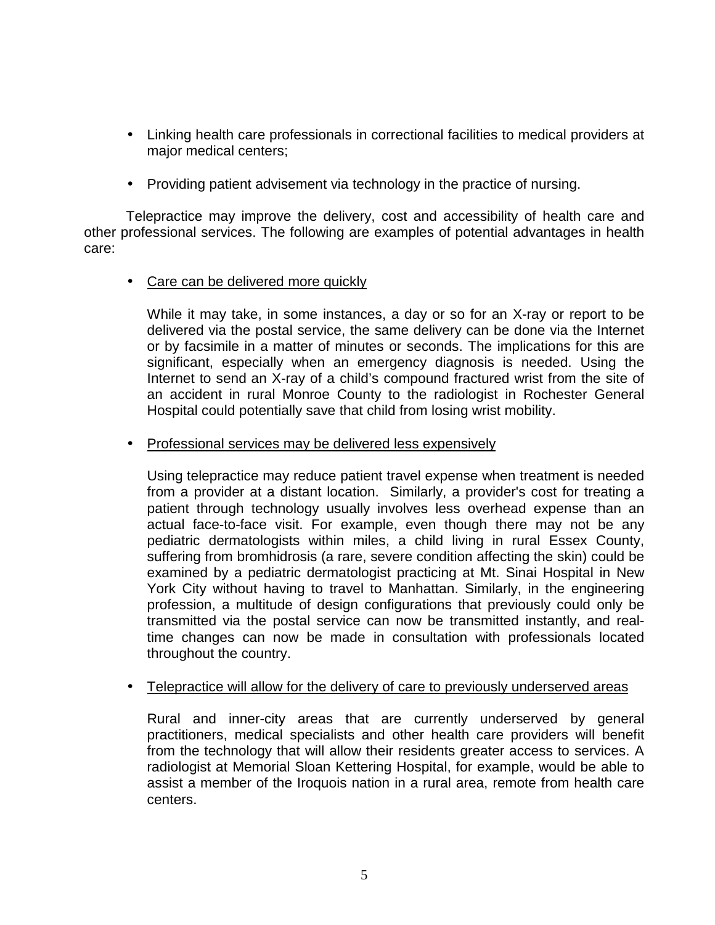- Linking health care professionals in correctional facilities to medical providers at major medical centers;
- Providing patient advisement via technology in the practice of nursing.

 Telepractice may improve the delivery, cost and accessibility of health care and other professional services. The following are examples of potential advantages in health care:

• Care can be delivered more quickly

 While it may take, in some instances, a day or so for an X-ray or report to be an accident in rural Monroe County to the radiologist in Rochester General delivered via the postal service, the same delivery can be done via the Internet or by facsimile in a matter of minutes or seconds. The implications for this are significant, especially when an emergency diagnosis is needed. Using the Internet to send an X-ray of a child's compound fractured wrist from the site of Hospital could potentially save that child from losing wrist mobility.

• Professional services may be delivered less expensively

 from a provider at a distant location. Similarly, a provider's cost for treating a pediatric dermatologists within miles, a child living in rural Essex County, examined by a pediatric dermatologist practicing at Mt. Sinai Hospital in New Using telepractice may reduce patient travel expense when treatment is needed patient through technology usually involves less overhead expense than an actual face-to-face visit. For example, even though there may not be any suffering from bromhidrosis (a rare, severe condition affecting the skin) could be York City without having to travel to Manhattan. Similarly, in the engineering profession, a multitude of design configurations that previously could only be transmitted via the postal service can now be transmitted instantly, and realtime changes can now be made in consultation with professionals located throughout the country.

• Telepractice will allow for the delivery of care to previously underserved areas

 radiologist at Memorial Sloan Kettering Hospital, for example, would be able to assist a member of the Iroquois nation in a rural area, remote from health care Rural and inner-city areas that are currently underserved by general practitioners, medical specialists and other health care providers will benefit from the technology that will allow their residents greater access to services. A centers.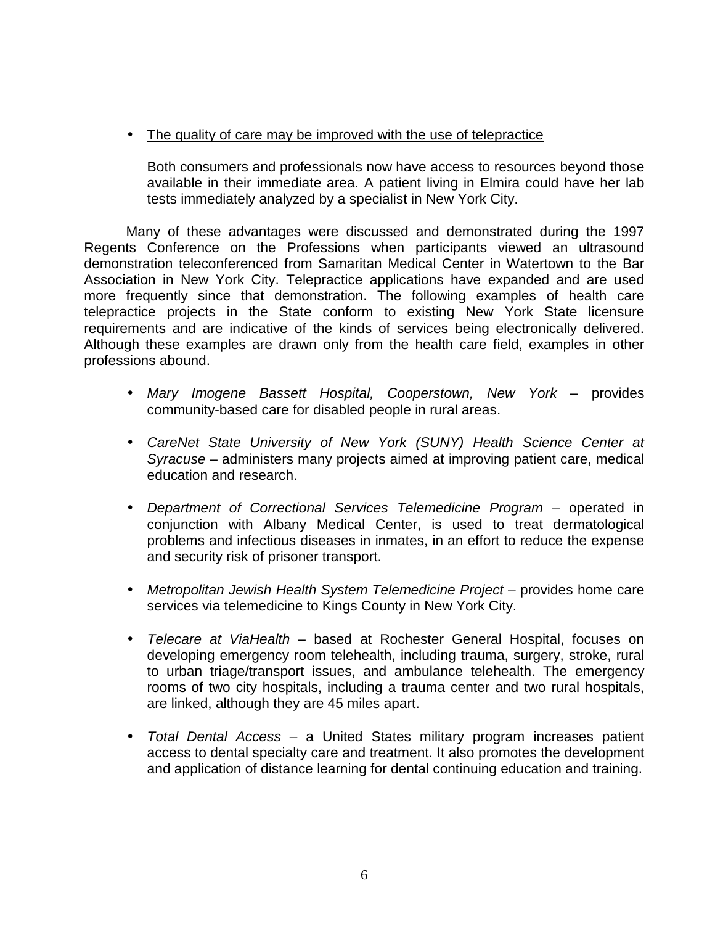• The quality of care may be improved with the use of telepractice

Both consumers and professionals now have access to resources beyond those available in their immediate area. A patient living in Elmira could have her lab tests immediately analyzed by a specialist in New York City.

 Many of these advantages were discussed and demonstrated during the 1997 demonstration teleconferenced from Samaritan Medical Center in Watertown to the Bar more frequently since that demonstration. The following examples of health care Regents Conference on the Professions when participants viewed an ultrasound Association in New York City. Telepractice applications have expanded and are used telepractice projects in the State conform to existing New York State licensure requirements and are indicative of the kinds of services being electronically delivered. Although these examples are drawn only from the health care field, examples in other professions abound.

- • *Mary Imogene Bassett Hospital, Cooperstown, New York* provides community-based care for disabled people in rural areas.
- • *CareNet State University of New York (SUNY) Health Science Center at Syracuse* – administers many projects aimed at improving patient care, medical education and research.
- problems and infectious diseases in inmates, in an effort to reduce the expense • *Department of Correctional Services Telemedicine Program* – operated in conjunction with Albany Medical Center, is used to treat dermatological and security risk of prisoner transport.
- • *Metropolitan Jewish Health System Telemedicine Project* provides home care services via telemedicine to Kings County in New York City.
- • *Telecare at ViaHealth*  based at Rochester General Hospital, focuses on developing emergency room telehealth, including trauma, surgery, stroke, rural to urban triage/transport issues, and ambulance telehealth. The emergency rooms of two city hospitals, including a trauma center and two rural hospitals, are linked, although they are 45 miles apart.
- • *Total Dental Access* a United States military program increases patient access to dental specialty care and treatment. It also promotes the development and application of distance learning for dental continuing education and training.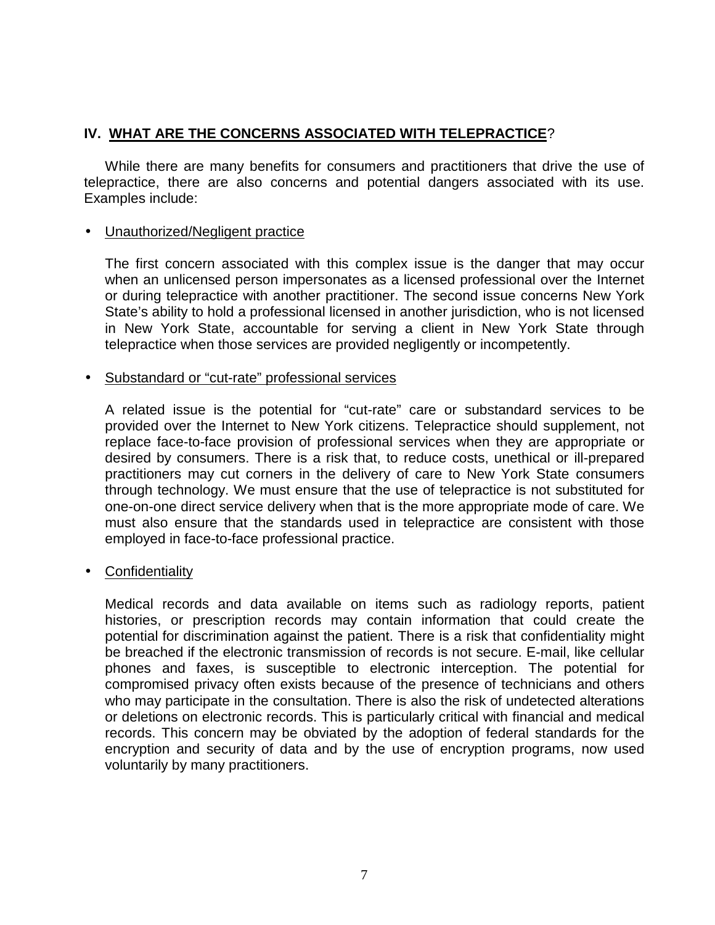# **IV. WHAT ARE THE CONCERNS ASSOCIATED WITH TELEPRACTICE**?

While there are many benefits for consumers and practitioners that drive the use of telepractice, there are also concerns and potential dangers associated with its use. Examples include:

## • Unauthorized/Negligent practice

 when an unlicensed person impersonates as a licensed professional over the Internet in New York State, accountable for serving a client in New York State through The first concern associated with this complex issue is the danger that may occur or during telepractice with another practitioner. The second issue concerns New York State's ability to hold a professional licensed in another jurisdiction, who is not licensed telepractice when those services are provided negligently or incompetently.

### • Substandard or "cut-rate" professional services

 provided over the Internet to New York citizens. Telepractice should supplement, not A related issue is the potential for "cut-rate" care or substandard services to be replace face-to-face provision of professional services when they are appropriate or desired by consumers. There is a risk that, to reduce costs, unethical or ill-prepared practitioners may cut corners in the delivery of care to New York State consumers through technology. We must ensure that the use of telepractice is not substituted for one-on-one direct service delivery when that is the more appropriate mode of care. We must also ensure that the standards used in telepractice are consistent with those employed in face-to-face professional practice.

## **Confidentiality**

 potential for discrimination against the patient. There is a risk that confidentiality might be breached if the electronic transmission of records is not secure. E-mail, like cellular encryption and security of data and by the use of encryption programs, now used Medical records and data available on items such as radiology reports, patient histories, or prescription records may contain information that could create the phones and faxes, is susceptible to electronic interception. The potential for compromised privacy often exists because of the presence of technicians and others who may participate in the consultation. There is also the risk of undetected alterations or deletions on electronic records. This is particularly critical with financial and medical records. This concern may be obviated by the adoption of federal standards for the voluntarily by many practitioners.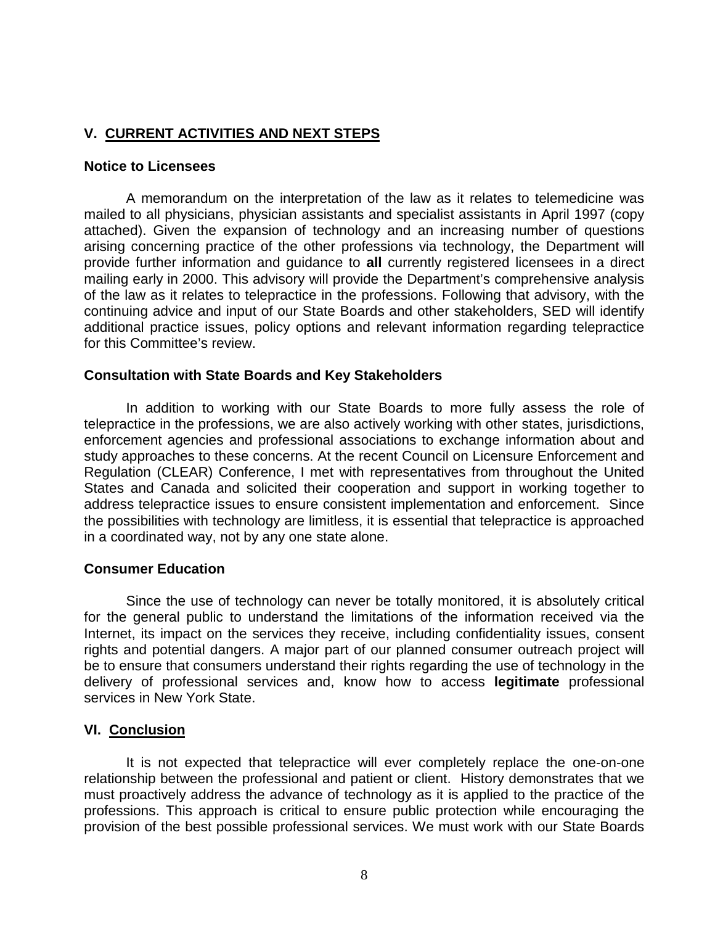## **V. CURRENT ACTIVITIES AND NEXT STEPS**

### **Notice to Licensees**

 mailed to all physicians, physician assistants and specialist assistants in April 1997 (copy arising concerning practice of the other professions via technology, the Department will additional practice issues, policy options and relevant information regarding telepractice A memorandum on the interpretation of the law as it relates to telemedicine was attached). Given the expansion of technology and an increasing number of questions provide further information and guidance to **all** currently registered licensees in a direct mailing early in 2000. This advisory will provide the Department's comprehensive analysis of the law as it relates to telepractice in the professions. Following that advisory, with the continuing advice and input of our State Boards and other stakeholders, SED will identify for this Committee's review.

### **Consultation with State Boards and Key Stakeholders**

 telepractice in the professions, we are also actively working with other states, jurisdictions, study approaches to these concerns. At the recent Council on Licensure Enforcement and States and Canada and solicited their cooperation and support in working together to In addition to working with our State Boards to more fully assess the role of enforcement agencies and professional associations to exchange information about and Regulation (CLEAR) Conference, I met with representatives from throughout the United address telepractice issues to ensure consistent implementation and enforcement. Since the possibilities with technology are limitless, it is essential that telepractice is approached in a coordinated way, not by any one state alone.

#### **Consumer Education**

 for the general public to understand the limitations of the information received via the rights and potential dangers. A major part of our planned consumer outreach project will be to ensure that consumers understand their rights regarding the use of technology in the delivery of professional services and, know how to access **legitimate** professional Since the use of technology can never be totally monitored, it is absolutely critical Internet, its impact on the services they receive, including confidentiality issues, consent services in New York State.

## **VI. Conclusion**

 provision of the best possible professional services. We must work with our State Boards It is not expected that telepractice will ever completely replace the one-on-one relationship between the professional and patient or client. History demonstrates that we must proactively address the advance of technology as it is applied to the practice of the professions. This approach is critical to ensure public protection while encouraging the